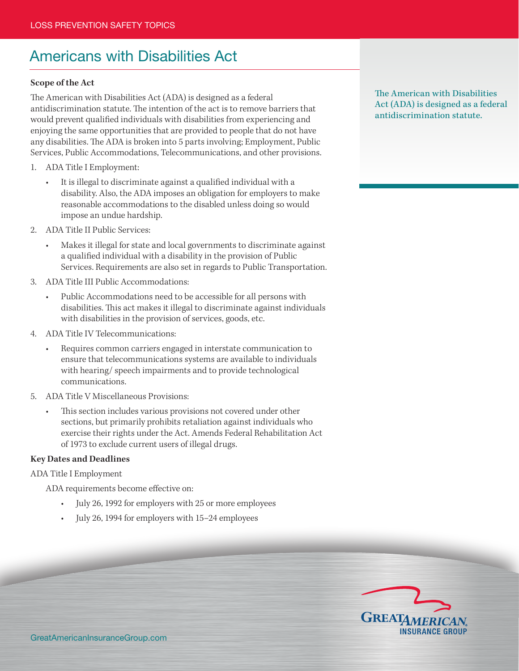# Americans with Disabilities Act

#### **Scope of the Act**

The American with Disabilities Act (ADA) is designed as a federal antidiscrimination statute. The intention of the act is to remove barriers that would prevent qualified individuals with disabilities from experiencing and enjoying the same opportunities that are provided to people that do not have any disabilities. The ADA is broken into 5 parts involving; Employment, Public Services, Public Accommodations, Telecommunications, and other provisions.

- 1. ADA Title I Employment:
	- It is illegal to discriminate against a qualified individual with a disability. Also, the ADA imposes an obligation for employers to make reasonable accommodations to the disabled unless doing so would impose an undue hardship.
- 2. ADA Title II Public Services:
	- Makes it illegal for state and local governments to discriminate against a qualified individual with a disability in the provision of Public Services. Requirements are also set in regards to Public Transportation.
- 3. ADA Title III Public Accommodations:
	- Public Accommodations need to be accessible for all persons with disabilities. This act makes it illegal to discriminate against individuals with disabilities in the provision of services, goods, etc.
- 4. ADA Title IV Telecommunications:
	- Requires common carriers engaged in interstate communication to ensure that telecommunications systems are available to individuals with hearing/ speech impairments and to provide technological communications.
- 5. ADA Title V Miscellaneous Provisions:
	- This section includes various provisions not covered under other sections, but primarily prohibits retaliation against individuals who exercise their rights under the Act. Amends Federal Rehabilitation Act of 1973 to exclude current users of illegal drugs.

#### **Key Dates and Deadlines**

ADA Title I Employment

ADA requirements become effective on:

- July 26, 1992 for employers with 25 or more employees
- July 26, 1994 for employers with 15–24 employees

The American with Disabilities Act (ADA) is designed as a federal antidiscrimination statute.

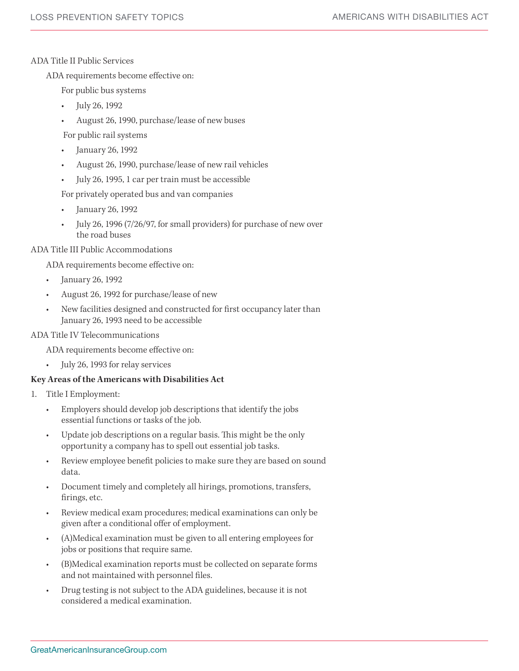#### ADA Title II Public Services

ADA requirements become effective on:

For public bus systems

- July 26, 1992
- August 26, 1990, purchase/lease of new buses

For public rail systems

- January 26, 1992
- August 26, 1990, purchase/lease of new rail vehicles
- July 26, 1995, 1 car per train must be accessible

For privately operated bus and van companies

- January 26, 1992
- July 26, 1996 (7/26/97, for small providers) for purchase of new over the road buses

#### ADA Title III Public Accommodations

ADA requirements become effective on:

- January 26, 1992
- August 26, 1992 for purchase/lease of new
- New facilities designed and constructed for first occupancy later than January 26, 1993 need to be accessible

### ADA Title IV Telecommunications

ADA requirements become effective on:

July 26, 1993 for relay services

## **Key Areas of the Americans with Disabilities Act**

- 1. Title I Employment:
	- Employers should develop job descriptions that identify the jobs essential functions or tasks of the job.
	- Update job descriptions on a regular basis. This might be the only opportunity a company has to spell out essential job tasks.
	- Review employee benefit policies to make sure they are based on sound data.
	- Document timely and completely all hirings, promotions, transfers, firings, etc.
	- Review medical exam procedures; medical examinations can only be given after a conditional offer of employment.
	- (A)Medical examination must be given to all entering employees for jobs or positions that require same.
	- (B)Medical examination reports must be collected on separate forms and not maintained with personnel files.
	- Drug testing is not subject to the ADA guidelines, because it is not considered a medical examination.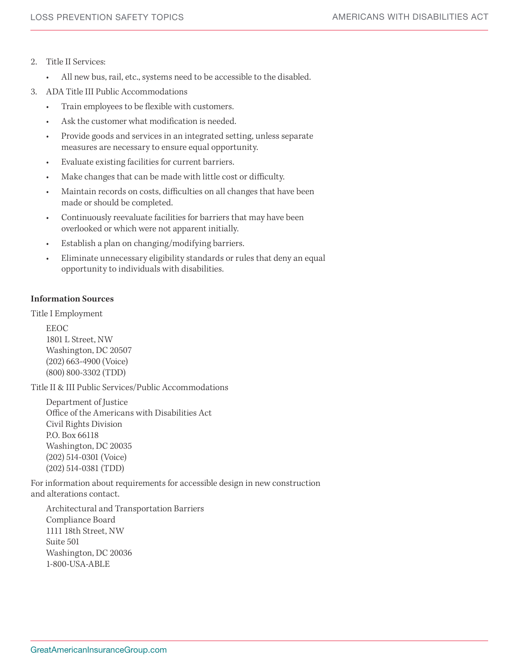- 2. Title II Services:
	- • All new bus, rail, etc., systems need to be accessible to the disabled.
- 3. ADA Title III Public Accommodations
	- Train employees to be flexible with customers.
	- Ask the customer what modification is needed.
	- Provide goods and services in an integrated setting, unless separate measures are necessary to ensure equal opportunity.
	- Evaluate existing facilities for current barriers.
	- Make changes that can be made with little cost or difficulty.
	- Maintain records on costs, difficulties on all changes that have been made or should be completed.
	- Continuously reevaluate facilities for barriers that may have been overlooked or which were not apparent initially.
	- Establish a plan on changing/modifying barriers.
	- Eliminate unnecessary eligibility standards or rules that deny an equal opportunity to individuals with disabilities.

## **Information Sources**

Title I Employment

EEOC 1801 L Street, NW Washington, DC 20507 (202) 663-4900 (Voice) (800) 800-3302 (TDD)

Title II & III Public Services/Public Accommodations

Department of Justice Office of the Americans with Disabilities Act Civil Rights Division P.O. Box 66118 Washington, DC 20035 (202) 514-0301 (Voice) (202) 514-0381 (TDD)

For information about requirements for accessible design in new construction and alterations contact.

Architectural and Transportation Barriers Compliance Board 1111 18th Street, NW Suite 501 Washington, DC 20036 1-800-USA-ABLE